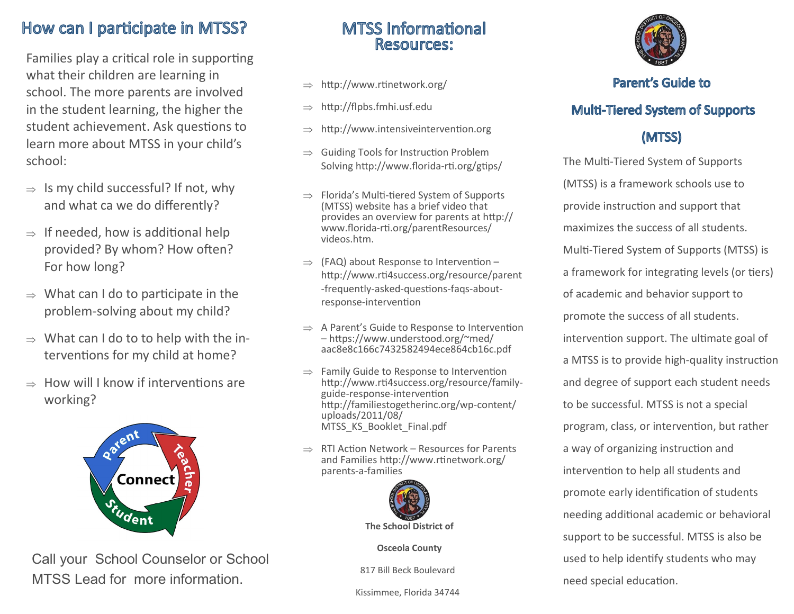# How can I participate in MTSS?

Families play a critical role in supporting what their children are learning in school. The more parents are involved in the student learning, the higher the student achievement. Ask questions to learn more about MTSS in your child's school:

- $\Rightarrow$  Is my child successful? If not, why and what ca we do differently?
- $\Rightarrow$  If needed, how is additional help provided? By whom? How often? For how long?
- $\Rightarrow$  What can I do to participate in the problem-solving about my child?
- $\Rightarrow$  What can I do to to help with the interventions for my child at home?
- $\Rightarrow$  How will I know if interventions are working?



Call your School Counselor or School MTSS Lead for more information.

### **MTSS Informational** Resources:

- $\Rightarrow$  http://www.rtinetwork.org/
- $\Rightarrow$  http://flpbs.fmhi.usf.edu
- http://www.intensiveintervention.org
- $\Rightarrow$  Guiding Tools for Instruction Problem Solving http://www.florida-rti.org/gtips/
- $\Rightarrow$  Florida's Multi-tiered System of Supports (MTSS) website has a brief video that provides an overview for parents at http:// www.florida-rti.org/parentResources/ videos.htm.
- $\Rightarrow$  (FAQ) about Response to Intervention http://www.rti4success.org/resource/parent -frequently-asked-questions-faqs-aboutresponse-intervention
- $\Rightarrow$  A Parent's Guide to Response to Intervention – https://www.understood.org/~med/ aac8e8c166c7432582494ece864cb16c.pdf
- $\Rightarrow$  Family Guide to Response to Intervention http://www.rti4success.org/resource/familyguide-response-intervention http://familiestogetherinc.org/wp-content/ uploads/2011/08/ MTSS KS Booklet Final.pdf
- $\Rightarrow$  RTI Action Network Resources for Parents and Families http://www.rtinetwork.org/ parents-a-families



**Osceola County**

817 Bill Beck Boulevard

Kissimmee, Florida 34744



#### Parent's Guide to

### **Multi-Tiered System of Supports**

## (MTSS)

The Multi-Tiered System of Supports (MTSS) is a framework schools use to provide instruction and support that maximizes the success of all students. Multi-Tiered System of Supports (MTSS) is a framework for integrating levels (or tiers) of academic and behavior support to promote the success of all students. intervention support. The ultimate goal of a MTSS is to provide high-quality instruction and degree of support each student needs to be successful. MTSS is not a special program, class, or intervention, but rather a way of organizing instruction and intervention to help all students and promote early identification of students needing additional academic or behavioral support to be successful. MTSS is also be used to help identify students who may need special education.